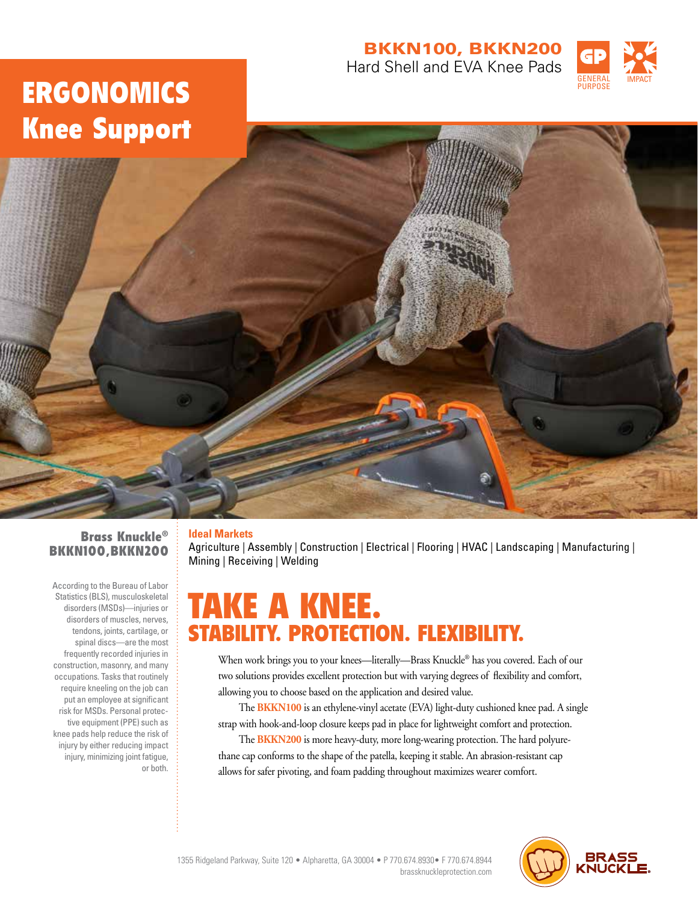### BKKN100, BKKN200 Hard Shell and EVA Knee Pads



# ERGONOMICS Knee Support



### Brass Knuckle® BKKN100,BKKN200

According to the Bureau of Labor Statistics (BLS), musculoskeletal disorders (MSDs)—injuries or disorders of muscles, nerves, tendons, joints, cartilage, or spinal discs—are the most frequently recorded injuries in construction, masonry, and many occupations. Tasks that routinely require kneeling on the job can put an employee at significant risk for MSDs. Personal protective equipment (PPE) such as knee pads help reduce the risk of injury by either reducing impact injury, minimizing joint fatigue, or both.

### **Ideal Markets**

Agriculture | Assembly | Construction | Electrical | Flooring | HVAC | Landscaping | Manufacturing | Mining | Receiving | Welding

## KNEE. Y. PROTECTION. FLEXIBILITY.

When work brings you to your knees—literally—Brass Knuckle® has you covered. Each of our two solutions provides excellent protection but with varying degrees of flexibility and comfort, allowing you to choose based on the application and desired value.

The **BKKN100** is an ethylene-vinyl acetate (EVA) light-duty cushioned knee pad. A single strap with hook-and-loop closure keeps pad in place for lightweight comfort and protection.

The **BKKN200** is more heavy-duty, more long-wearing protection. The hard polyurethane cap conforms to the shape of the patella, keeping it stable. An abrasion-resistant cap allows for safer pivoting, and foam padding throughout maximizes wearer comfort.